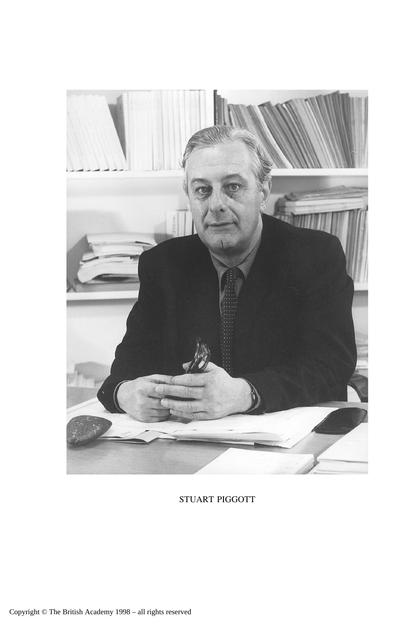

STUART PIGGOTT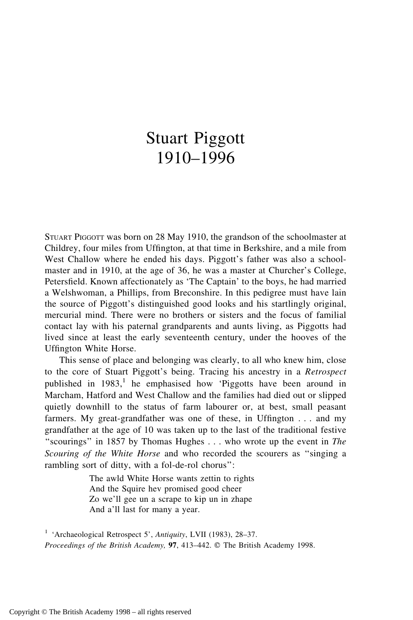## Stuart Piggott 1910–1996

STUART PIGGOTT was born on 28 May 1910, the grandson of the schoolmaster at Childrey, four miles from Uffington, at that time in Berkshire, and a mile from West Challow where he ended his days. Piggott's father was also a schoolmaster and in 1910, at the age of 36, he was a master at Churcher's College, Petersfield. Known affectionately as 'The Captain' to the boys, he had married a Welshwoman, a Phillips, from Breconshire. In this pedigree must have lain the source of Piggott's distinguished good looks and his startlingly original, mercurial mind. There were no brothers or sisters and the focus of familial contact lay with his paternal grandparents and aunts living, as Piggotts had lived since at least the early seventeenth century, under the hooves of the Uffington White Horse.

This sense of place and belonging was clearly, to all who knew him, close to the core of Stuart Piggott's being. Tracing his ancestry in a *Retrospect* published in  $1983$ ,<sup>1</sup> he emphasised how 'Piggotts have been around in Marcham, Hatford and West Challow and the families had died out or slipped quietly downhill to the status of farm labourer or, at best, small peasant farmers. My great-grandfather was one of these, in Uffington . . . and my grandfather at the age of 10 was taken up to the last of the traditional festive ''scourings'' in 1857 by Thomas Hughes . . . who wrote up the event in *The Scouring of the White Horse* and who recorded the scourers as ''singing a rambling sort of ditty, with a fol-de-rol chorus'':

> The awld White Horse wants zettin to rights And the Squire hev promised good cheer Zo we'll gee un a scrape to kip un in zhape And a'll last for many a year.

<sup>1</sup> 'Archaeological Retrospect 5', *Antiquity*, LVII (1983), 28–37. *Proceedings of the British Academy*, 97, 413–442. © The British Academy 1998.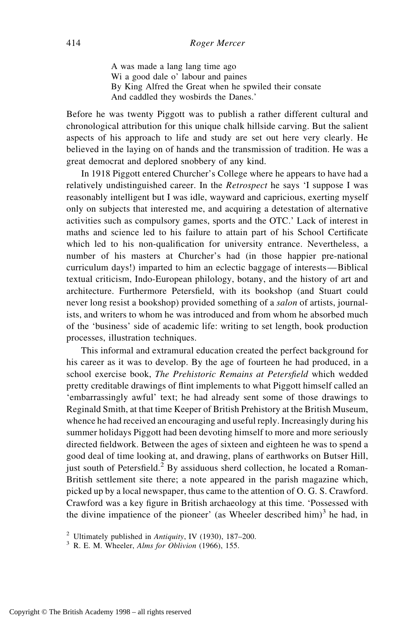A was made a lang lang time ago Wi a good dale o' labour and paines By King Alfred the Great when he spwiled their consate And caddled they wosbirds the Danes.'

Before he was twenty Piggott was to publish a rather different cultural and chronological attribution for this unique chalk hillside carving. But the salient aspects of his approach to life and study are set out here very clearly. He believed in the laying on of hands and the transmission of tradition. He was a great democrat and deplored snobbery of any kind.

In 1918 Piggott entered Churcher's College where he appears to have had a relatively undistinguished career. In the *Retrospect* he says 'I suppose I was reasonably intelligent but I was idle, wayward and capricious, exerting myself only on subjects that interested me, and acquiring a detestation of alternative activities such as compulsory games, sports and the OTC.' Lack of interest in maths and science led to his failure to attain part of his School Certificate which led to his non-qualification for university entrance. Nevertheless, a number of his masters at Churcher's had (in those happier pre-national curriculum days!) imparted to him an eclectic baggage of interests—Biblical textual criticism, Indo-European philology, botany, and the history of art and architecture. Furthermore Petersfield, with its bookshop (and Stuart could never long resist a bookshop) provided something of a *salon* of artists, journalists, and writers to whom he was introduced and from whom he absorbed much of the 'business' side of academic life: writing to set length, book production processes, illustration techniques.

This informal and extramural education created the perfect background for his career as it was to develop. By the age of fourteen he had produced, in a school exercise book, *The Prehistoric Remains at Petersfield* which wedded pretty creditable drawings of flint implements to what Piggott himself called an 'embarrassingly awful' text; he had already sent some of those drawings to Reginald Smith, at that time Keeper of British Prehistory at the British Museum, whence he had received an encouraging and useful reply. Increasingly during his summer holidays Piggott had been devoting himself to more and more seriously directed fieldwork. Between the ages of sixteen and eighteen he was to spend a good deal of time looking at, and drawing, plans of earthworks on Butser Hill, just south of Petersfield.<sup>2</sup> By assiduous sherd collection, he located a Roman-British settlement site there; a note appeared in the parish magazine which, picked up by a local newspaper, thus came to the attention of O. G. S. Crawford. Crawford was a key figure in British archaeology at this time. 'Possessed with the divine impatience of the pioneer' (as Wheeler described him) $3$  he had, in

<sup>2</sup> Ultimately published in *Antiquity*, IV (1930), 187–200. <sup>3</sup> R. E. M. Wheeler, *Alms for Oblivion* (1966), 155.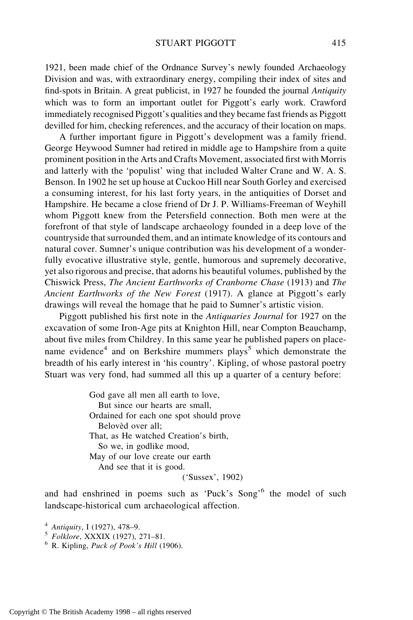1921, been made chief of the Ordnance Survey's newly founded Archaeology Division and was, with extraordinary energy, compiling their index of sites and find-spots in Britain. A great publicist, in 1927 he founded the journal *Antiquity* which was to form an important outlet for Piggott's early work. Crawford immediately recognised Piggott's qualities and they became fast friends as Piggott devilled for him, checking references, and the accuracy of their location on maps.

A further important figure in Piggott's development was a family friend. George Heywood Sumner had retired in middle age to Hampshire from a quite prominent position in the Arts and Crafts Movement, associated first with Morris and latterly with the 'populist' wing that included Walter Crane and W. A. S. Benson. In 1902 he set up house at Cuckoo Hill near South Gorley and exercised a consuming interest, for his last forty years, in the antiquities of Dorset and Hampshire. He became a close friend of Dr J. P. Williams-Freeman of Weyhill whom Piggott knew from the Petersfield connection. Both men were at the forefront of that style of landscape archaeology founded in a deep love of the countryside that surrounded them, and an intimate knowledge of its contours and natural cover. Sumner's unique contribution was his development of a wonderfully evocative illustrative style, gentle, humorous and supremely decorative, yet also rigorous and precise, that adorns his beautiful volumes, published by the Chiswick Press, *The Ancient Earthworks of Cranborne Chase* (1913) and *The Ancient Earthworks of the New Forest* (1917). A glance at Piggott's early drawings will reveal the homage that he paid to Sumner's artistic vision.

Piggott published his first note in the *Antiquaries Journal* for 1927 on the excavation of some Iron-Age pits at Knighton Hill, near Compton Beauchamp, about five miles from Childrey. In this same year he published papers on placename evidence<sup>4</sup> and on Berkshire mummers plays<sup>5</sup> which demonstrate the breadth of his early interest in 'his country'. Kipling, of whose pastoral poetry Stuart was very fond, had summed all this up a quarter of a century before:

> God gave all men all earth to love, But since our hearts are small, Ordained for each one spot should prove Beloved over all: That, as He watched Creation's birth, So we, in godlike mood, May of our love create our earth And see that it is good. ('Sussex', 1902)

and had enshrined in poems such as 'Puck's Song'<sup>6</sup> the model of such landscape-historical cum archaeological affection.

<sup>4</sup> *Antiquity*, I (1927), 478–9. <sup>5</sup> *Folklore*, XXXIX (1927), 271–81. <sup>6</sup> R. Kipling, *Puck of Pook's Hill* (1906).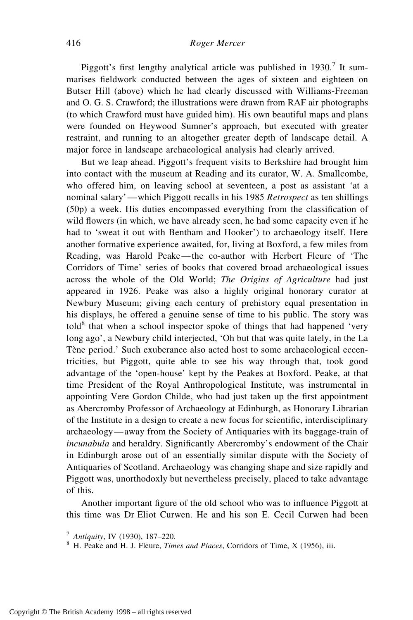Piggott's first lengthy analytical article was published in  $1930$ .<sup>7</sup> It summarises fieldwork conducted between the ages of sixteen and eighteen on Butser Hill (above) which he had clearly discussed with Williams-Freeman and O. G. S. Crawford; the illustrations were drawn from RAF air photographs (to which Crawford must have guided him). His own beautiful maps and plans were founded on Heywood Sumner's approach, but executed with greater restraint, and running to an altogether greater depth of landscape detail. A major force in landscape archaeological analysis had clearly arrived.

But we leap ahead. Piggott's frequent visits to Berkshire had brought him into contact with the museum at Reading and its curator, W. A. Smallcombe, who offered him, on leaving school at seventeen, a post as assistant 'at a nominal salary'—which Piggott recalls in his 1985 *Retrospect* as ten shillings (50p) a week. His duties encompassed everything from the classification of wild flowers (in which, we have already seen, he had some capacity even if he had to 'sweat it out with Bentham and Hooker') to archaeology itself. Here another formative experience awaited, for, living at Boxford, a few miles from Reading, was Harold Peake—the co-author with Herbert Fleure of 'The Corridors of Time' series of books that covered broad archaeological issues across the whole of the Old World; *The Origins of Agriculture* had just appeared in 1926. Peake was also a highly original honorary curator at Newbury Museum; giving each century of prehistory equal presentation in his displays, he offered a genuine sense of time to his public. The story was  $\text{told}^8$  that when a school inspector spoke of things that had happened 'very long ago', a Newbury child interjected, 'Oh but that was quite lately, in the La Tène period.' Such exuberance also acted host to some archaeological eccentricities, but Piggott, quite able to see his way through that, took good advantage of the 'open-house' kept by the Peakes at Boxford. Peake, at that time President of the Royal Anthropological Institute, was instrumental in appointing Vere Gordon Childe, who had just taken up the first appointment as Abercromby Professor of Archaeology at Edinburgh, as Honorary Librarian of the Institute in a design to create a new focus for scientific, interdisciplinary archaeology—away from the Society of Antiquaries with its baggage-train of *incunabula* and heraldry. Significantly Abercromby's endowment of the Chair in Edinburgh arose out of an essentially similar dispute with the Society of Antiquaries of Scotland. Archaeology was changing shape and size rapidly and Piggott was, unorthodoxly but nevertheless precisely, placed to take advantage of this.

Another important figure of the old school who was to influence Piggott at this time was Dr Eliot Curwen. He and his son E. Cecil Curwen had been

<sup>7</sup> *Antiquity*, IV (1930), 187–220. <sup>8</sup> H. Peake and H. J. Fleure, *Times and Places*, Corridors of Time, X (1956), iii.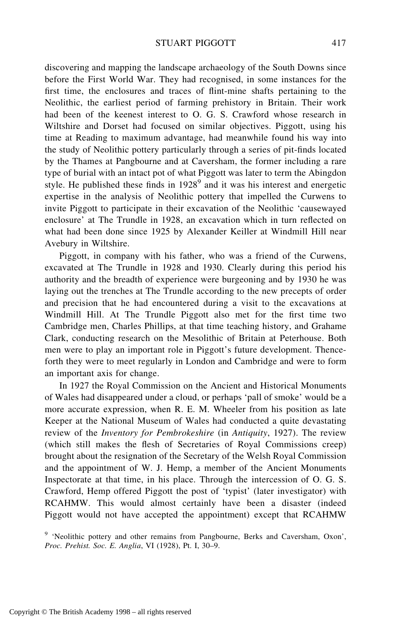discovering and mapping the landscape archaeology of the South Downs since before the First World War. They had recognised, in some instances for the first time, the enclosures and traces of flint-mine shafts pertaining to the Neolithic, the earliest period of farming prehistory in Britain. Their work had been of the keenest interest to O. G. S. Crawford whose research in Wiltshire and Dorset had focused on similar objectives. Piggott, using his time at Reading to maximum advantage, had meanwhile found his way into the study of Neolithic pottery particularly through a series of pit-finds located by the Thames at Pangbourne and at Caversham, the former including a rare type of burial with an intact pot of what Piggott was later to term the Abingdon style. He published these finds in  $1928<sup>9</sup>$  and it was his interest and energetic expertise in the analysis of Neolithic pottery that impelled the Curwens to invite Piggott to participate in their excavation of the Neolithic 'causewayed enclosure' at The Trundle in 1928, an excavation which in turn reflected on what had been done since 1925 by Alexander Keiller at Windmill Hill near Avebury in Wiltshire.

Piggott, in company with his father, who was a friend of the Curwens, excavated at The Trundle in 1928 and 1930. Clearly during this period his authority and the breadth of experience were burgeoning and by 1930 he was laying out the trenches at The Trundle according to the new precepts of order and precision that he had encountered during a visit to the excavations at Windmill Hill. At The Trundle Piggott also met for the first time two Cambridge men, Charles Phillips, at that time teaching history, and Grahame Clark, conducting research on the Mesolithic of Britain at Peterhouse. Both men were to play an important role in Piggott's future development. Thenceforth they were to meet regularly in London and Cambridge and were to form an important axis for change.

In 1927 the Royal Commission on the Ancient and Historical Monuments of Wales had disappeared under a cloud, or perhaps 'pall of smoke' would be a more accurate expression, when R. E. M. Wheeler from his position as late Keeper at the National Museum of Wales had conducted a quite devastating review of the *Inventory for Pembrokeshire* (in *Antiquity*, 1927). The review (which still makes the flesh of Secretaries of Royal Commissions creep) brought about the resignation of the Secretary of the Welsh Royal Commission and the appointment of W. J. Hemp, a member of the Ancient Monuments Inspectorate at that time, in his place. Through the intercession of O. G. S. Crawford, Hemp offered Piggott the post of 'typist' (later investigator) with RCAHMW. This would almost certainly have been a disaster (indeed Piggott would not have accepted the appointment) except that RCAHMW

<sup>9</sup> 'Neolithic pottery and other remains from Pangbourne, Berks and Caversham, Oxon', *Proc. Prehist. Soc. E. Anglia*, VI (1928), Pt. I, 30–9.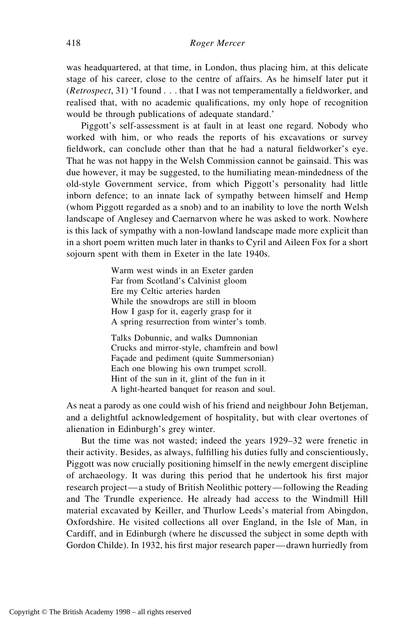was headquartered, at that time, in London, thus placing him, at this delicate stage of his career, close to the centre of affairs. As he himself later put it (*Retrospect*, 31) 'I found . . . that I was not temperamentally a fieldworker, and realised that, with no academic qualifications, my only hope of recognition would be through publications of adequate standard.'

Piggott's self-assessment is at fault in at least one regard. Nobody who worked with him, or who reads the reports of his excavations or survey fieldwork, can conclude other than that he had a natural fieldworker's eye. That he was not happy in the Welsh Commission cannot be gainsaid. This was due however, it may be suggested, to the humiliating mean-mindedness of the old-style Government service, from which Piggott's personality had little inborn defence; to an innate lack of sympathy between himself and Hemp (whom Piggott regarded as a snob) and to an inability to love the north Welsh landscape of Anglesey and Caernarvon where he was asked to work. Nowhere is this lack of sympathy with a non-lowland landscape made more explicit than in a short poem written much later in thanks to Cyril and Aileen Fox for a short sojourn spent with them in Exeter in the late 1940s.

> Warm west winds in an Exeter garden Far from Scotland's Calvinist gloom Ere my Celtic arteries harden While the snowdrops are still in bloom How I gasp for it, eagerly grasp for it A spring resurrection from winter's tomb.

Talks Dobunnic, and walks Dumnonian Crucks and mirror-style, chamfrein and bowl Facade and pediment (quite Summersonian) Each one blowing his own trumpet scroll. Hint of the sun in it, glint of the fun in it A light-hearted banquet for reason and soul.

As neat a parody as one could wish of his friend and neighbour John Betjeman, and a delightful acknowledgement of hospitality, but with clear overtones of alienation in Edinburgh's grey winter.

But the time was not wasted; indeed the years 1929–32 were frenetic in their activity. Besides, as always, fulfilling his duties fully and conscientiously, Piggott was now crucially positioning himself in the newly emergent discipline of archaeology. It was during this period that he undertook his first major research project—a study of British Neolithic pottery—following the Reading and The Trundle experience. He already had access to the Windmill Hill material excavated by Keiller, and Thurlow Leeds's material from Abingdon, Oxfordshire. He visited collections all over England, in the Isle of Man, in Cardiff, and in Edinburgh (where he discussed the subject in some depth with Gordon Childe). In 1932, his first major research paper—drawn hurriedly from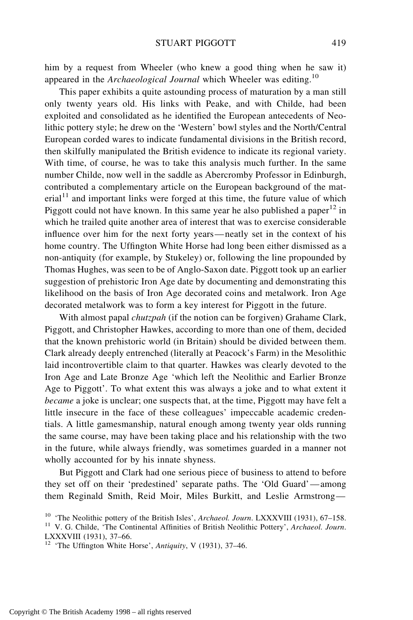him by a request from Wheeler (who knew a good thing when he saw it) appeared in the *Archaeological Journal* which Wheeler was editing.<sup>10</sup>

This paper exhibits a quite astounding process of maturation by a man still only twenty years old. His links with Peake, and with Childe, had been exploited and consolidated as he identified the European antecedents of Neolithic pottery style; he drew on the 'Western' bowl styles and the North/Central European corded wares to indicate fundamental divisions in the British record, then skilfully manipulated the British evidence to indicate its regional variety. With time, of course, he was to take this analysis much further. In the same number Childe, now well in the saddle as Abercromby Professor in Edinburgh, contributed a complementary article on the European background of the mat- $\text{erial}^{11}$  and important links were forged at this time, the future value of which Piggott could not have known. In this same year he also published a paper<sup>12</sup> in which he trailed quite another area of interest that was to exercise considerable influence over him for the next forty years—neatly set in the context of his home country. The Uffington White Horse had long been either dismissed as a non-antiquity (for example, by Stukeley) or, following the line propounded by Thomas Hughes, was seen to be of Anglo-Saxon date. Piggott took up an earlier suggestion of prehistoric Iron Age date by documenting and demonstrating this likelihood on the basis of Iron Age decorated coins and metalwork. Iron Age decorated metalwork was to form a key interest for Piggott in the future.

With almost papal *chutzpah* (if the notion can be forgiven) Grahame Clark, Piggott, and Christopher Hawkes, according to more than one of them, decided that the known prehistoric world (in Britain) should be divided between them. Clark already deeply entrenched (literally at Peacock's Farm) in the Mesolithic laid incontrovertible claim to that quarter. Hawkes was clearly devoted to the Iron Age and Late Bronze Age 'which left the Neolithic and Earlier Bronze Age to Piggott'. To what extent this was always a joke and to what extent it *became* a joke is unclear; one suspects that, at the time, Piggott may have felt a little insecure in the face of these colleagues' impeccable academic credentials. A little gamesmanship, natural enough among twenty year olds running the same course, may have been taking place and his relationship with the two in the future, while always friendly, was sometimes guarded in a manner not wholly accounted for by his innate shyness.

But Piggott and Clark had one serious piece of business to attend to before they set off on their 'predestined' separate paths. The 'Old Guard'—among them Reginald Smith, Reid Moir, Miles Burkitt, and Leslie Armstrong—

<sup>10</sup> 'The Neolithic pottery of the British Isles', *Archaeol. Journ*. LXXXVIII (1931), 67–158. <sup>11</sup> V. G. Childe, 'The Continental Affinities of British Neolithic Pottery', *Archaeol. Journ*.

LXXXVIII (1931), 37–66.

<sup>12</sup> 'The Uffington White Horse', *Antiquity*, V (1931), 37–46.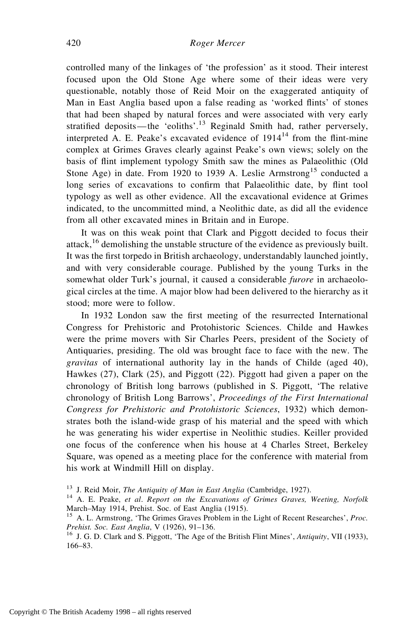controlled many of the linkages of 'the profession' as it stood. Their interest focused upon the Old Stone Age where some of their ideas were very questionable, notably those of Reid Moir on the exaggerated antiquity of Man in East Anglia based upon a false reading as 'worked flints' of stones that had been shaped by natural forces and were associated with very early stratified deposits—the 'eoliths'.<sup>13</sup> Reginald Smith had, rather perversely, interpreted A. E. Peake's excavated evidence of  $1914<sup>14</sup>$  from the flint-mine complex at Grimes Graves clearly against Peake's own views; solely on the basis of flint implement typology Smith saw the mines as Palaeolithic (Old Stone Age) in date. From 1920 to 1939 A. Leslie Armstrong<sup>15</sup> conducted a long series of excavations to confirm that Palaeolithic date, by flint tool typology as well as other evidence. All the excavational evidence at Grimes indicated, to the uncommitted mind, a Neolithic date, as did all the evidence from all other excavated mines in Britain and in Europe.

It was on this weak point that Clark and Piggott decided to focus their attack,<sup>16</sup> demolishing the unstable structure of the evidence as previously built. It was the first torpedo in British archaeology, understandably launched jointly, and with very considerable courage. Published by the young Turks in the somewhat older Turk's journal, it caused a considerable *furore* in archaeological circles at the time. A major blow had been delivered to the hierarchy as it stood; more were to follow.

In 1932 London saw the first meeting of the resurrected International Congress for Prehistoric and Protohistoric Sciences. Childe and Hawkes were the prime movers with Sir Charles Peers, president of the Society of Antiquaries, presiding. The old was brought face to face with the new. The *gravitas* of international authority lay in the hands of Childe (aged 40), Hawkes (27), Clark (25), and Piggott (22). Piggott had given a paper on the chronology of British long barrows (published in S. Piggott, 'The relative chronology of British Long Barrows', *Proceedings of the First International Congress for Prehistoric and Protohistoric Sciences*, 1932) which demonstrates both the island-wide grasp of his material and the speed with which he was generating his wider expertise in Neolithic studies. Keiller provided one focus of the conference when his house at 4 Charles Street, Berkeley Square, was opened as a meeting place for the conference with material from his work at Windmill Hill on display.

<sup>13</sup> J. Reid Moir, *The Antiquity of Man in East Anglia* (Cambridge, 1927). <sup>14</sup> A. E. Peake, *et al*. *Report on the Excavations of Grimes Graves, Weeting, Norfolk* March–May 1914, Prehist. Soc. of East Anglia (1915).

<sup>15</sup> A. L. Armstrong, 'The Grimes Graves Problem in the Light of Recent Researches', *Proc. Prehist. Soc. East Anglia*, V (1926), 91–136.<br><sup>16</sup> J. G. D. Clark and S. Piggott, 'The Age of the British Flint Mines', *Antiquity*, VII (1933),

<sup>166–83.</sup>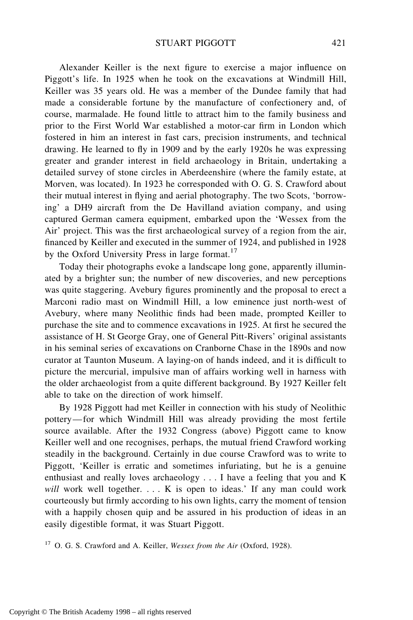Alexander Keiller is the next figure to exercise a major influence on Piggott's life. In 1925 when he took on the excavations at Windmill Hill, Keiller was 35 years old. He was a member of the Dundee family that had made a considerable fortune by the manufacture of confectionery and, of course, marmalade. He found little to attract him to the family business and prior to the First World War established a motor-car firm in London which fostered in him an interest in fast cars, precision instruments, and technical drawing. He learned to fly in 1909 and by the early 1920s he was expressing greater and grander interest in field archaeology in Britain, undertaking a detailed survey of stone circles in Aberdeenshire (where the family estate, at Morven, was located). In 1923 he corresponded with O. G. S. Crawford about their mutual interest in flying and aerial photography. The two Scots, 'borrowing' a DH9 aircraft from the De Havilland aviation company, and using captured German camera equipment, embarked upon the 'Wessex from the Air' project. This was the first archaeological survey of a region from the air, financed by Keiller and executed in the summer of 1924, and published in 1928 by the Oxford University Press in large format.<sup>17</sup>

Today their photographs evoke a landscape long gone, apparently illuminated by a brighter sun; the number of new discoveries, and new perceptions was quite staggering. Avebury figures prominently and the proposal to erect a Marconi radio mast on Windmill Hill, a low eminence just north-west of Avebury, where many Neolithic finds had been made, prompted Keiller to purchase the site and to commence excavations in 1925. At first he secured the assistance of H. St George Gray, one of General Pitt-Rivers' original assistants in his seminal series of excavations on Cranborne Chase in the 1890s and now curator at Taunton Museum. A laying-on of hands indeed, and it is difficult to picture the mercurial, impulsive man of affairs working well in harness with the older archaeologist from a quite different background. By 1927 Keiller felt able to take on the direction of work himself.

By 1928 Piggott had met Keiller in connection with his study of Neolithic pottery—for which Windmill Hill was already providing the most fertile source available. After the 1932 Congress (above) Piggott came to know Keiller well and one recognises, perhaps, the mutual friend Crawford working steadily in the background. Certainly in due course Crawford was to write to Piggott, 'Keiller is erratic and sometimes infuriating, but he is a genuine enthusiast and really loves archaeology . . . I have a feeling that you and K *will* work well together. . . . K is open to ideas.' If any man could work courteously but firmly according to his own lights, carry the moment of tension with a happily chosen quip and be assured in his production of ideas in an easily digestible format, it was Stuart Piggott.

<sup>17</sup> O. G. S. Crawford and A. Keiller, *Wessex from the Air* (Oxford, 1928).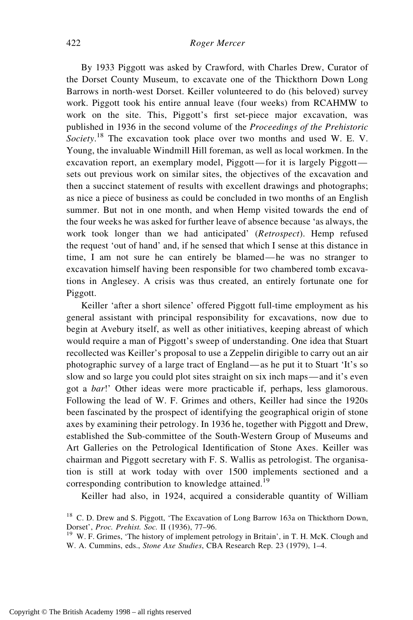By 1933 Piggott was asked by Crawford, with Charles Drew, Curator of the Dorset County Museum, to excavate one of the Thickthorn Down Long Barrows in north-west Dorset. Keiller volunteered to do (his beloved) survey work. Piggott took his entire annual leave (four weeks) from RCAHMW to work on the site. This, Piggott's first set-piece major excavation, was published in 1936 in the second volume of the *Proceedings of the Prehistoric Society*. <sup>18</sup> The excavation took place over two months and used W. E. V. Young, the invaluable Windmill Hill foreman, as well as local workmen. In the excavation report, an exemplary model, Piggott—for it is largely Piggott sets out previous work on similar sites, the objectives of the excavation and then a succinct statement of results with excellent drawings and photographs; as nice a piece of business as could be concluded in two months of an English summer. But not in one month, and when Hemp visited towards the end of the four weeks he was asked for further leave of absence because 'as always, the work took longer than we had anticipated' (*Retrospect*). Hemp refused the request 'out of hand' and, if he sensed that which I sense at this distance in time, I am not sure he can entirely be blamed—he was no stranger to excavation himself having been responsible for two chambered tomb excavations in Anglesey. A crisis was thus created, an entirely fortunate one for Piggott.

Keiller 'after a short silence' offered Piggott full-time employment as his general assistant with principal responsibility for excavations, now due to begin at Avebury itself, as well as other initiatives, keeping abreast of which would require a man of Piggott's sweep of understanding. One idea that Stuart recollected was Keiller's proposal to use a Zeppelin dirigible to carry out an air photographic survey of a large tract of England—as he put it to Stuart 'It's so slow and so large you could plot sites straight on six inch maps—and it's even got a *bar*!' Other ideas were more practicable if, perhaps, less glamorous. Following the lead of W. F. Grimes and others, Keiller had since the 1920s been fascinated by the prospect of identifying the geographical origin of stone axes by examining their petrology. In 1936 he, together with Piggott and Drew, established the Sub-committee of the South-Western Group of Museums and Art Galleries on the Petrological Identification of Stone Axes. Keiller was chairman and Piggott secretary with F. S. Wallis as petrologist. The organisation is still at work today with over 1500 implements sectioned and a corresponding contribution to knowledge attained.<sup>19</sup>

Keiller had also, in 1924, acquired a considerable quantity of William

<sup>&</sup>lt;sup>18</sup> C. D. Drew and S. Piggott, 'The Excavation of Long Barrow 163a on Thickthorn Down, Dorset', *Proc. Prehist. Soc.* II (1936), 77–96.<br><sup>19</sup> W. F. Grimes, 'The history of implement petrology in Britain', in T. H. McK. Clough and

W. A. Cummins, eds., *Stone Axe Studies*, CBA Research Rep. 23 (1979), 1–4.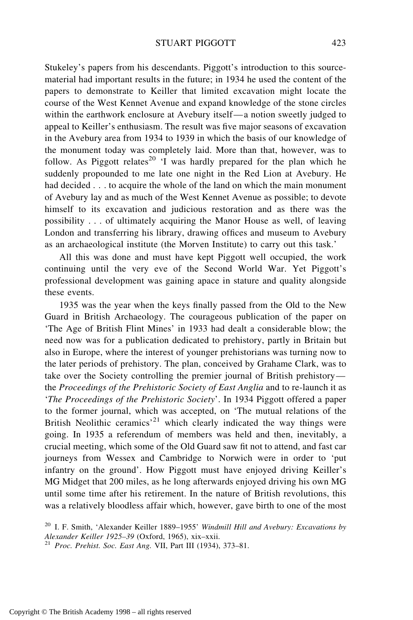Stukeley's papers from his descendants. Piggott's introduction to this sourcematerial had important results in the future; in 1934 he used the content of the papers to demonstrate to Keiller that limited excavation might locate the course of the West Kennet Avenue and expand knowledge of the stone circles within the earthwork enclosure at Avebury itself—a notion sweetly judged to appeal to Keiller's enthusiasm. The result was five major seasons of excavation in the Avebury area from 1934 to 1939 in which the basis of our knowledge of the monument today was completely laid. More than that, however, was to follow. As Piggott relates<sup>20</sup> 'I was hardly prepared for the plan which he suddenly propounded to me late one night in the Red Lion at Avebury. He had decided . . . to acquire the whole of the land on which the main monument of Avebury lay and as much of the West Kennet Avenue as possible; to devote himself to its excavation and judicious restoration and as there was the possibility . . . of ultimately acquiring the Manor House as well, of leaving London and transferring his library, drawing offices and museum to Avebury as an archaeological institute (the Morven Institute) to carry out this task.'

All this was done and must have kept Piggott well occupied, the work continuing until the very eve of the Second World War. Yet Piggott's professional development was gaining apace in stature and quality alongside these events.

1935 was the year when the keys finally passed from the Old to the New Guard in British Archaeology. The courageous publication of the paper on 'The Age of British Flint Mines' in 1933 had dealt a considerable blow; the need now was for a publication dedicated to prehistory, partly in Britain but also in Europe, where the interest of younger prehistorians was turning now to the later periods of prehistory. The plan, conceived by Grahame Clark, was to take over the Society controlling the premier journal of British prehistory the *Proceedings of the Prehistoric Society of East Anglia* and to re-launch it as '*The Proceedings of the Prehistoric Society*'. In 1934 Piggott offered a paper to the former journal, which was accepted, on 'The mutual relations of the British Neolithic ceramics'<sup>21</sup> which clearly indicated the way things were going. In 1935 a referendum of members was held and then, inevitably, a crucial meeting, which some of the Old Guard saw fit not to attend, and fast car journeys from Wessex and Cambridge to Norwich were in order to 'put infantry on the ground'. How Piggott must have enjoyed driving Keiller's MG Midget that 200 miles, as he long afterwards enjoyed driving his own MG until some time after his retirement. In the nature of British revolutions, this was a relatively bloodless affair which, however, gave birth to one of the most

<sup>20</sup> I. F. Smith, 'Alexander Keiller 1889–1955' *Windmill Hill and Avebury: Excavations by*

<sup>&</sup>lt;sup>21</sup> Proc. Prehist. Soc. East Ang. VII, Part III (1934), 373–81.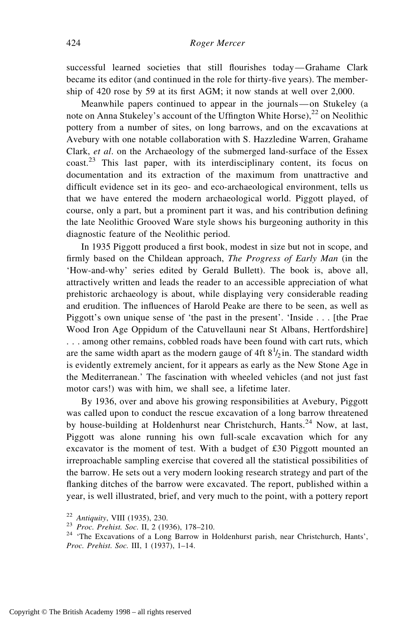successful learned societies that still flourishes today—Grahame Clark became its editor (and continued in the role for thirty-five years). The membership of 420 rose by 59 at its first AGM; it now stands at well over 2,000.

Meanwhile papers continued to appear in the journals—on Stukeley (a note on Anna Stukeley's account of the Uffington White Horse),<sup>22</sup> on Neolithic pottery from a number of sites, on long barrows, and on the excavations at Avebury with one notable collaboration with S. Hazzledine Warren, Grahame Clark, *et al*. on the Archaeology of the submerged land-surface of the Essex coast.<sup>23</sup> This last paper, with its interdisciplinary content, its focus on documentation and its extraction of the maximum from unattractive and difficult evidence set in its geo- and eco-archaeological environment, tells us that we have entered the modern archaeological world. Piggott played, of course, only a part, but a prominent part it was, and his contribution defining the late Neolithic Grooved Ware style shows his burgeoning authority in this diagnostic feature of the Neolithic period.

In 1935 Piggott produced a first book, modest in size but not in scope, and firmly based on the Childean approach, *The Progress of Early Man* (in the 'How-and-why' series edited by Gerald Bullett). The book is, above all, attractively written and leads the reader to an accessible appreciation of what prehistoric archaeology is about, while displaying very considerable reading and erudition. The influences of Harold Peake are there to be seen, as well as Piggott's own unique sense of 'the past in the present'. 'Inside . . . [the Prae Wood Iron Age Oppidum of the Catuvellauni near St Albans, Hertfordshire] . . . among other remains, cobbled roads have been found with cart ruts, which are the same width apart as the modern gauge of 4ft  $8<sup>1</sup>/2$  in. The standard width is evidently extremely ancient, for it appears as early as the New Stone Age in the Mediterranean.' The fascination with wheeled vehicles (and not just fast motor cars!) was with him, we shall see, a lifetime later.

By 1936, over and above his growing responsibilities at Avebury, Piggott was called upon to conduct the rescue excavation of a long barrow threatened by house-building at Holdenhurst near Christchurch, Hants.<sup>24</sup> Now, at last, Piggott was alone running his own full-scale excavation which for any excavator is the moment of test. With a budget of £30 Piggott mounted an irreproachable sampling exercise that covered all the statistical possibilities of the barrow. He sets out a very modern looking research strategy and part of the flanking ditches of the barrow were excavated. The report, published within a year, is well illustrated, brief, and very much to the point, with a pottery report

<sup>22</sup> *Antiquity*, VIII (1935), 230. <sup>23</sup> *Proc. Prehist. Soc.* II, 2 (1936), 178–210. <sup>24</sup> 'The Excavations of a Long Barrow in Holdenhurst parish, near Christchurch, Hants', *Proc. Prehist. Soc.* III, 1 (1937), 1–14.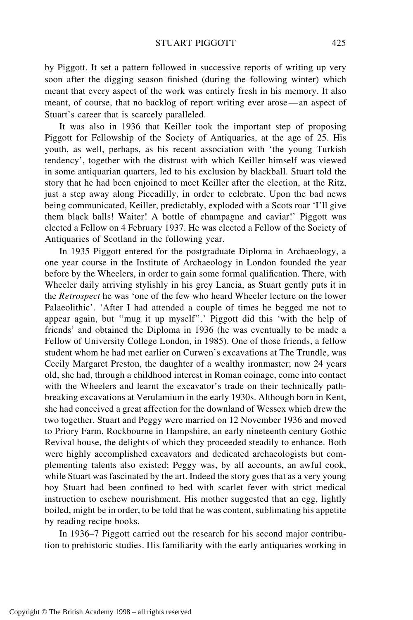by Piggott. It set a pattern followed in successive reports of writing up very soon after the digging season finished (during the following winter) which meant that every aspect of the work was entirely fresh in his memory. It also meant, of course, that no backlog of report writing ever arose—an aspect of Stuart's career that is scarcely paralleled.

It was also in 1936 that Keiller took the important step of proposing Piggott for Fellowship of the Society of Antiquaries, at the age of 25. His youth, as well, perhaps, as his recent association with 'the young Turkish tendency', together with the distrust with which Keiller himself was viewed in some antiquarian quarters, led to his exclusion by blackball. Stuart told the story that he had been enjoined to meet Keiller after the election, at the Ritz, just a step away along Piccadilly, in order to celebrate. Upon the bad news being communicated, Keiller, predictably, exploded with a Scots roar 'I'll give them black balls! Waiter! A bottle of champagne and caviar!' Piggott was elected a Fellow on 4 February 1937. He was elected a Fellow of the Society of Antiquaries of Scotland in the following year.

In 1935 Piggott entered for the postgraduate Diploma in Archaeology, a one year course in the Institute of Archaeology in London founded the year before by the Wheelers, in order to gain some formal qualification. There, with Wheeler daily arriving stylishly in his grey Lancia, as Stuart gently puts it in the *Retrospect* he was 'one of the few who heard Wheeler lecture on the lower Palaeolithic'. 'After I had attended a couple of times he begged me not to appear again, but ''mug it up myself''.' Piggott did this 'with the help of friends' and obtained the Diploma in 1936 (he was eventually to be made a Fellow of University College London, in 1985). One of those friends, a fellow student whom he had met earlier on Curwen's excavations at The Trundle, was Cecily Margaret Preston, the daughter of a wealthy ironmaster; now 24 years old, she had, through a childhood interest in Roman coinage, come into contact with the Wheelers and learnt the excavator's trade on their technically pathbreaking excavations at Verulamium in the early 1930s. Although born in Kent, she had conceived a great affection for the downland of Wessex which drew the two together. Stuart and Peggy were married on 12 November 1936 and moved to Priory Farm, Rockbourne in Hampshire, an early nineteenth century Gothic Revival house, the delights of which they proceeded steadily to enhance. Both were highly accomplished excavators and dedicated archaeologists but complementing talents also existed; Peggy was, by all accounts, an awful cook, while Stuart was fascinated by the art. Indeed the story goes that as a very young boy Stuart had been confined to bed with scarlet fever with strict medical instruction to eschew nourishment. His mother suggested that an egg, lightly boiled, might be in order, to be told that he was content, sublimating his appetite by reading recipe books.

In 1936–7 Piggott carried out the research for his second major contribution to prehistoric studies. His familiarity with the early antiquaries working in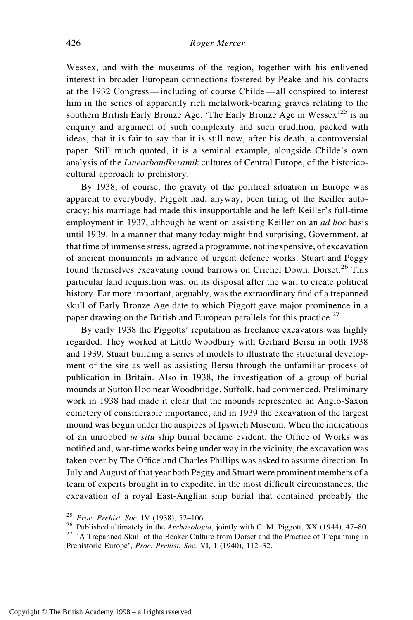Wessex, and with the museums of the region, together with his enlivened interest in broader European connections fostered by Peake and his contacts at the 1932 Congress—including of course Childe—all conspired to interest him in the series of apparently rich metalwork-bearing graves relating to the southern British Early Bronze Age. 'The Early Bronze Age in Wessex'<sup>25</sup> is an enquiry and argument of such complexity and such erudition, packed with ideas, that it is fair to say that it is still now, after his death, a controversial paper. Still much quoted, it is a seminal example, alongside Childe's own analysis of the *Linearbandkeramik* cultures of Central Europe, of the historicocultural approach to prehistory.

By 1938, of course, the gravity of the political situation in Europe was apparent to everybody. Piggott had, anyway, been tiring of the Keiller autocracy; his marriage had made this insupportable and he left Keiller's full-time employment in 1937, although he went on assisting Keiller on an *ad hoc* basis until 1939. In a manner that many today might find surprising, Government, at that time of immense stress, agreed a programme, not inexpensive, of excavation of ancient monuments in advance of urgent defence works. Stuart and Peggy found themselves excavating round barrows on Crichel Down, Dorset.<sup>26</sup> This particular land requisition was, on its disposal after the war, to create political history. Far more important, arguably, was the extraordinary find of a trepanned skull of Early Bronze Age date to which Piggott gave major prominence in a paper drawing on the British and European parallels for this practice.<sup>27</sup>

By early 1938 the Piggotts' reputation as freelance excavators was highly regarded. They worked at Little Woodbury with Gerhard Bersu in both 1938 and 1939, Stuart building a series of models to illustrate the structural development of the site as well as assisting Bersu through the unfamiliar process of publication in Britain. Also in 1938, the investigation of a group of burial mounds at Sutton Hoo near Woodbridge, Suffolk, had commenced. Preliminary work in 1938 had made it clear that the mounds represented an Anglo-Saxon cemetery of considerable importance, and in 1939 the excavation of the largest mound was begun under the auspices of Ipswich Museum. When the indications of an unrobbed *in situ* ship burial became evident, the Office of Works was notified and, war-time works being under way in the vicinity, the excavation was taken over by The Office and Charles Phillips was asked to assume direction. In July and August of that year both Peggy and Stuart were prominent members of a team of experts brought in to expedite, in the most difficult circumstances, the excavation of a royal East-Anglian ship burial that contained probably the

<sup>&</sup>lt;sup>25</sup> *Proc. Prehist. Soc.* IV (1938), 52–106.<br><sup>26</sup> Published ultimately in the *Archaeologia*, jointly with C. M. Piggott, XX (1944), 47–80.<br><sup>27</sup> 'A Trepanned Skull of the Beaker Culture from Dorset and the Practice of Tr

Prehistoric Europe', *Proc. Prehist. Soc.* VI, 1 (1940), 112–32.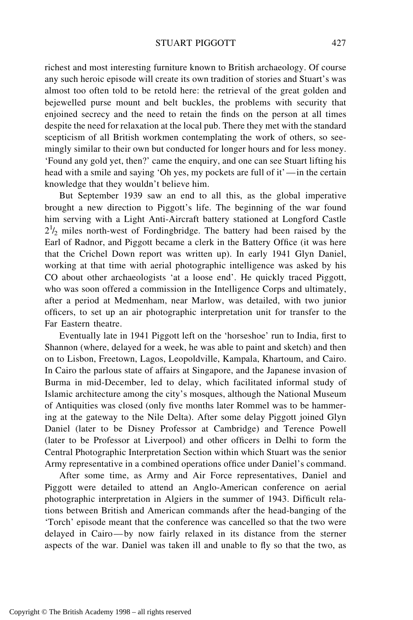richest and most interesting furniture known to British archaeology. Of course any such heroic episode will create its own tradition of stories and Stuart's was almost too often told to be retold here: the retrieval of the great golden and bejewelled purse mount and belt buckles, the problems with security that enjoined secrecy and the need to retain the finds on the person at all times despite the need for relaxation at the local pub. There they met with the standard scepticism of all British workmen contemplating the work of others, so seemingly similar to their own but conducted for longer hours and for less money. 'Found any gold yet, then?' came the enquiry, and one can see Stuart lifting his head with a smile and saying 'Oh yes, my pockets are full of it'—in the certain knowledge that they wouldn't believe him.

But September 1939 saw an end to all this, as the global imperative brought a new direction to Piggott's life. The beginning of the war found him serving with a Light Anti-Aircraft battery stationed at Longford Castle  $2^{1/2}$  miles north-west of Fordingbridge. The battery had been raised by the Earl of Radnor, and Piggott became a clerk in the Battery Office (it was here that the Crichel Down report was written up). In early 1941 Glyn Daniel, working at that time with aerial photographic intelligence was asked by his CO about other archaeologists 'at a loose end'. He quickly traced Piggott, who was soon offered a commission in the Intelligence Corps and ultimately, after a period at Medmenham, near Marlow, was detailed, with two junior officers, to set up an air photographic interpretation unit for transfer to the Far Eastern theatre.

Eventually late in 1941 Piggott left on the 'horseshoe' run to India, first to Shannon (where, delayed for a week, he was able to paint and sketch) and then on to Lisbon, Freetown, Lagos, Leopoldville, Kampala, Khartoum, and Cairo. In Cairo the parlous state of affairs at Singapore, and the Japanese invasion of Burma in mid-December, led to delay, which facilitated informal study of Islamic architecture among the city's mosques, although the National Museum of Antiquities was closed (only five months later Rommel was to be hammering at the gateway to the Nile Delta). After some delay Piggott joined Glyn Daniel (later to be Disney Professor at Cambridge) and Terence Powell (later to be Professor at Liverpool) and other officers in Delhi to form the Central Photographic Interpretation Section within which Stuart was the senior Army representative in a combined operations office under Daniel's command.

After some time, as Army and Air Force representatives, Daniel and Piggott were detailed to attend an Anglo-American conference on aerial photographic interpretation in Algiers in the summer of 1943. Difficult relations between British and American commands after the head-banging of the 'Torch' episode meant that the conference was cancelled so that the two were delayed in Cairo—by now fairly relaxed in its distance from the sterner aspects of the war. Daniel was taken ill and unable to fly so that the two, as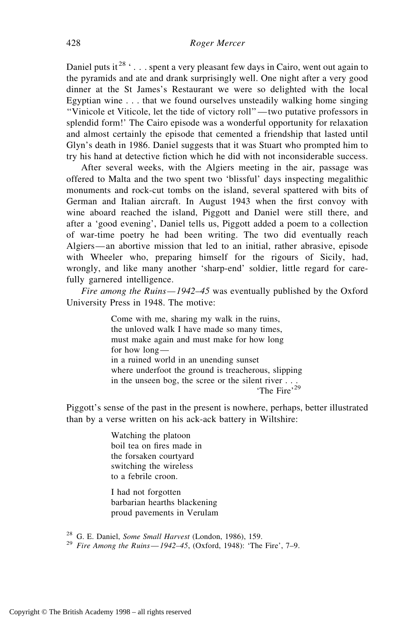Daniel puts it  $28$  '... spent a very pleasant few days in Cairo, went out again to the pyramids and ate and drank surprisingly well. One night after a very good dinner at the St James's Restaurant we were so delighted with the local Egyptian wine . . . that we found ourselves unsteadily walking home singing ''Vinicole et Viticole, let the tide of victory roll''—two putative professors in splendid form!' The Cairo episode was a wonderful opportunity for relaxation and almost certainly the episode that cemented a friendship that lasted until Glyn's death in 1986. Daniel suggests that it was Stuart who prompted him to try his hand at detective fiction which he did with not inconsiderable success.

After several weeks, with the Algiers meeting in the air, passage was offered to Malta and the two spent two 'blissful' days inspecting megalithic monuments and rock-cut tombs on the island, several spattered with bits of German and Italian aircraft. In August 1943 when the first convoy with wine aboard reached the island, Piggott and Daniel were still there, and after a 'good evening', Daniel tells us, Piggott added a poem to a collection of war-time poetry he had been writing. The two did eventually reach Algiers—an abortive mission that led to an initial, rather abrasive, episode with Wheeler who, preparing himself for the rigours of Sicily, had, wrongly, and like many another 'sharp-end' soldier, little regard for carefully garnered intelligence.

*Fire among the Ruins— 1942–45* was eventually published by the Oxford University Press in 1948. The motive:

> Come with me, sharing my walk in the ruins, the unloved walk I have made so many times, must make again and must make for how long for how long in a ruined world in an unending sunset where underfoot the ground is treacherous, slipping in the unseen bog, the scree or the silent river . . . 'The Fire'<sup>29</sup>

Piggott's sense of the past in the present is nowhere, perhaps, better illustrated than by a verse written on his ack-ack battery in Wiltshire:

> Watching the platoon boil tea on fires made in the forsaken courtyard switching the wireless to a febrile croon.

I had not forgotten barbarian hearths blackening proud pavements in Verulam

<sup>28</sup> G. E. Daniel, *Some Small Harvest* (London, 1986), 159. <sup>29</sup> *Fire Among the Ruins*—*1942–45*, (Oxford, 1948): 'The Fire', 7–9.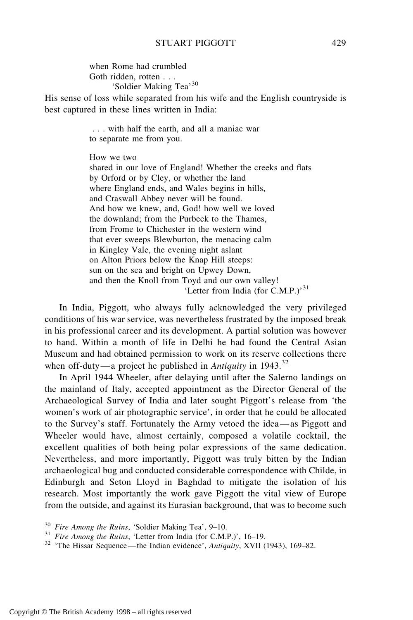when Rome had crumbled Goth ridden, rotten . . . 'Soldier Making Tea'<sup>30</sup>

His sense of loss while separated from his wife and the English countryside is best captured in these lines written in India:

> . . . with half the earth, and all a maniac war to separate me from you.

How we two

shared in our love of England! Whether the creeks and flats by Orford or by Cley, or whether the land where England ends, and Wales begins in hills, and Craswall Abbey never will be found. And how we knew, and, God! how well we loved the downland; from the Purbeck to the Thames, from Frome to Chichester in the western wind that ever sweeps Blewburton, the menacing calm in Kingley Vale, the evening night aslant on Alton Priors below the Knap Hill steeps: sun on the sea and bright on Upwey Down, and then the Knoll from Toyd and our own valley! 'Letter from India (for C.M.P.)'<sup>31</sup>

In India, Piggott, who always fully acknowledged the very privileged conditions of his war service, was nevertheless frustrated by the imposed break in his professional career and its development. A partial solution was however to hand. Within a month of life in Delhi he had found the Central Asian Museum and had obtained permission to work on its reserve collections there when off-duty—a project he published in *Antiquity* in 1943.<sup>32</sup>

In April 1944 Wheeler, after delaying until after the Salerno landings on the mainland of Italy, accepted appointment as the Director General of the Archaeological Survey of India and later sought Piggott's release from 'the women's work of air photographic service', in order that he could be allocated to the Survey's staff. Fortunately the Army vetoed the idea—as Piggott and Wheeler would have, almost certainly, composed a volatile cocktail, the excellent qualities of both being polar expressions of the same dedication. Nevertheless, and more importantly, Piggott was truly bitten by the Indian archaeological bug and conducted considerable correspondence with Childe, in Edinburgh and Seton Lloyd in Baghdad to mitigate the isolation of his research. Most importantly the work gave Piggott the vital view of Europe from the outside, and against its Eurasian background, that was to become such

<sup>30</sup> *Fire Among the Ruins*, 'Soldier Making Tea', 9–10. <sup>31</sup> *Fire Among the Ruins*, 'Letter from India (for C.M.P.)', 16–19. <sup>32</sup> 'The Hissar Sequence —the Indian evidence', *Antiquity*, XVII (1943), 169–82.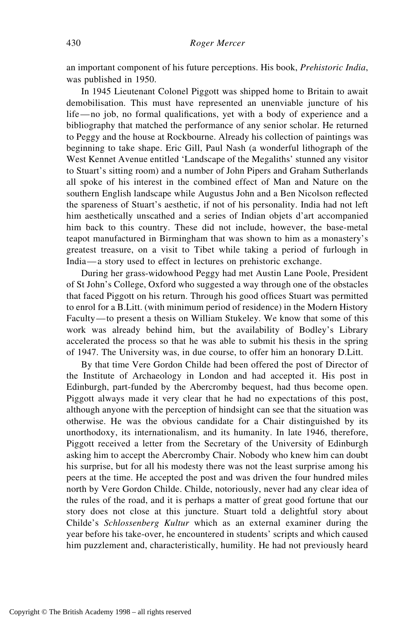an important component of his future perceptions. His book, *Prehistoric India*, was published in 1950.

In 1945 Lieutenant Colonel Piggott was shipped home to Britain to await demobilisation. This must have represented an unenviable juncture of his life—no job, no formal qualifications, yet with a body of experience and a bibliography that matched the performance of any senior scholar. He returned to Peggy and the house at Rockbourne. Already his collection of paintings was beginning to take shape. Eric Gill, Paul Nash (a wonderful lithograph of the West Kennet Avenue entitled 'Landscape of the Megaliths' stunned any visitor to Stuart's sitting room) and a number of John Pipers and Graham Sutherlands all spoke of his interest in the combined effect of Man and Nature on the southern English landscape while Augustus John and a Ben Nicolson reflected the spareness of Stuart's aesthetic, if not of his personality. India had not left him aesthetically unscathed and a series of Indian objets d'art accompanied him back to this country. These did not include, however, the base-metal teapot manufactured in Birmingham that was shown to him as a monastery's greatest treasure, on a visit to Tibet while taking a period of furlough in India—a story used to effect in lectures on prehistoric exchange.

During her grass-widowhood Peggy had met Austin Lane Poole, President of St John's College, Oxford who suggested a way through one of the obstacles that faced Piggott on his return. Through his good offices Stuart was permitted to enrol for a B.Litt. (with minimum period of residence) in the Modern History Faculty—to present a thesis on William Stukeley. We know that some of this work was already behind him, but the availability of Bodley's Library accelerated the process so that he was able to submit his thesis in the spring of 1947. The University was, in due course, to offer him an honorary D.Litt.

By that time Vere Gordon Childe had been offered the post of Director of the Institute of Archaeology in London and had accepted it. His post in Edinburgh, part-funded by the Abercromby bequest, had thus become open. Piggott always made it very clear that he had no expectations of this post, although anyone with the perception of hindsight can see that the situation was otherwise. He was the obvious candidate for a Chair distinguished by its unorthodoxy, its internationalism, and its humanity. In late 1946, therefore, Piggott received a letter from the Secretary of the University of Edinburgh asking him to accept the Abercromby Chair. Nobody who knew him can doubt his surprise, but for all his modesty there was not the least surprise among his peers at the time. He accepted the post and was driven the four hundred miles north by Vere Gordon Childe. Childe, notoriously, never had any clear idea of the rules of the road, and it is perhaps a matter of great good fortune that our story does not close at this juncture. Stuart told a delightful story about Childe's *Schlossenberg Kultur* which as an external examiner during the year before his take-over, he encountered in students' scripts and which caused him puzzlement and, characteristically, humility. He had not previously heard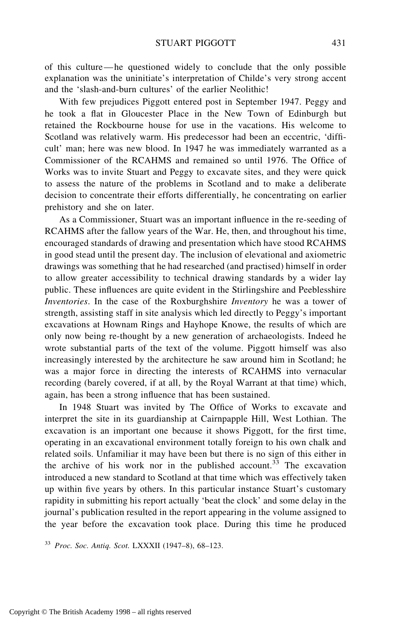of this culture—he questioned widely to conclude that the only possible explanation was the uninitiate's interpretation of Childe's very strong accent and the 'slash-and-burn cultures' of the earlier Neolithic!

With few prejudices Piggott entered post in September 1947. Peggy and he took a flat in Gloucester Place in the New Town of Edinburgh but retained the Rockbourne house for use in the vacations. His welcome to Scotland was relatively warm. His predecessor had been an eccentric, 'difficult' man; here was new blood. In 1947 he was immediately warranted as a Commissioner of the RCAHMS and remained so until 1976. The Office of Works was to invite Stuart and Peggy to excavate sites, and they were quick to assess the nature of the problems in Scotland and to make a deliberate decision to concentrate their efforts differentially, he concentrating on earlier prehistory and she on later.

As a Commissioner, Stuart was an important influence in the re-seeding of RCAHMS after the fallow years of the War. He, then, and throughout his time, encouraged standards of drawing and presentation which have stood RCAHMS in good stead until the present day. The inclusion of elevational and axiometric drawings was something that he had researched (and practised) himself in order to allow greater accessibility to technical drawing standards by a wider lay public. These influences are quite evident in the Stirlingshire and Peeblesshire *Inventories*. In the case of the Roxburghshire *Inventory* he was a tower of strength, assisting staff in site analysis which led directly to Peggy's important excavations at Hownam Rings and Hayhope Knowe, the results of which are only now being re-thought by a new generation of archaeologists. Indeed he wrote substantial parts of the text of the volume. Piggott himself was also increasingly interested by the architecture he saw around him in Scotland; he was a major force in directing the interests of RCAHMS into vernacular recording (barely covered, if at all, by the Royal Warrant at that time) which, again, has been a strong influence that has been sustained.

In 1948 Stuart was invited by The Office of Works to excavate and interpret the site in its guardianship at Cairnpapple Hill, West Lothian. The excavation is an important one because it shows Piggott, for the first time, operating in an excavational environment totally foreign to his own chalk and related soils. Unfamiliar it may have been but there is no sign of this either in the archive of his work nor in the published account.<sup>33</sup> The excavation introduced a new standard to Scotland at that time which was effectively taken up within five years by others. In this particular instance Stuart's customary rapidity in submitting his report actually 'beat the clock' and some delay in the journal's publication resulted in the report appearing in the volume assigned to the year before the excavation took place. During this time he produced

<sup>33</sup> *Proc. Soc. Antiq. Scot.* LXXXII (1947–8), 68–123.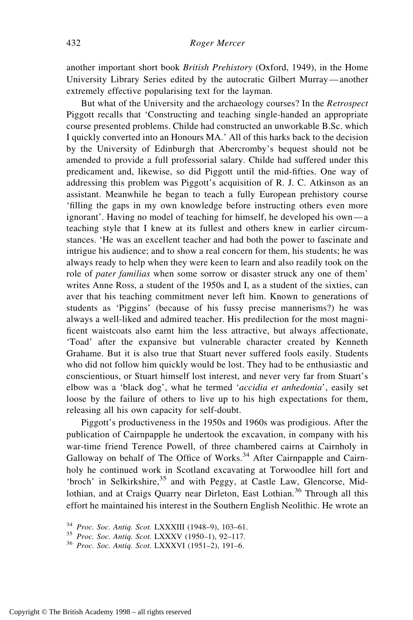another important short book *British Prehistory* (Oxford, 1949), in the Home University Library Series edited by the autocratic Gilbert Murray—another extremely effective popularising text for the layman.

But what of the University and the archaeology courses? In the *Retrospect* Piggott recalls that 'Constructing and teaching single-handed an appropriate course presented problems. Childe had constructed an unworkable B.Sc. which I quickly converted into an Honours MA.' All of this harks back to the decision by the University of Edinburgh that Abercromby's bequest should not be amended to provide a full professorial salary. Childe had suffered under this predicament and, likewise, so did Piggott until the mid-fifties. One way of addressing this problem was Piggott's acquisition of R. J. C. Atkinson as an assistant. Meanwhile he began to teach a fully European prehistory course 'filling the gaps in my own knowledge before instructing others even more ignorant'. Having no model of teaching for himself, he developed his own—a teaching style that I knew at its fullest and others knew in earlier circumstances. 'He was an excellent teacher and had both the power to fascinate and intrigue his audience; and to show a real concern for them, his students; he was always ready to help when they were keen to learn and also readily took on the role of *pater familias* when some sorrow or disaster struck any one of them' writes Anne Ross, a student of the 1950s and I, as a student of the sixties, can aver that his teaching commitment never left him. Known to generations of students as 'Piggins' (because of his fussy precise mannerisms?) he was always a well-liked and admired teacher. His predilection for the most magnificent waistcoats also earnt him the less attractive, but always affectionate, 'Toad' after the expansive but vulnerable character created by Kenneth Grahame. But it is also true that Stuart never suffered fools easily. Students who did not follow him quickly would be lost. They had to be enthusiastic and conscientious, or Stuart himself lost interest, and never very far from Stuart's elbow was a 'black dog', what he termed '*accidia et anhedonia*', easily set loose by the failure of others to live up to his high expectations for them, releasing all his own capacity for self-doubt.

Piggott's productiveness in the 1950s and 1960s was prodigious. After the publication of Cairnpapple he undertook the excavation, in company with his war-time friend Terence Powell, of three chambered cairns at Cairnholy in Galloway on behalf of The Office of Works.<sup>34</sup> After Cairnpapple and Cairnholy he continued work in Scotland excavating at Torwoodlee hill fort and 'broch' in Selkirkshire,<sup>35</sup> and with Peggy, at Castle Law, Glencorse, Midlothian, and at Craigs Quarry near Dirleton, East Lothian.<sup>36</sup> Through all this effort he maintained his interest in the Southern English Neolithic. He wrote an

<sup>34</sup> *Proc. Soc. Antiq. Scot.* LXXXIII (1948–9), 103–61. <sup>35</sup> *Proc. Soc. Antiq. Scot.* LXXXV (1950–1), 92–117. <sup>36</sup> *Proc. Soc. Antiq. Scot.* LXXXVI (1951–2), 191–6.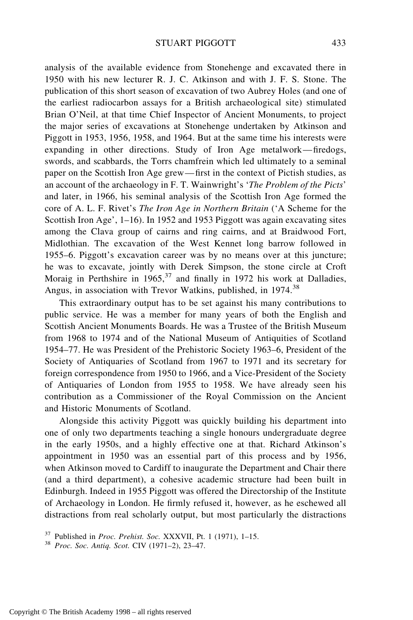analysis of the available evidence from Stonehenge and excavated there in 1950 with his new lecturer R. J. C. Atkinson and with J. F. S. Stone. The publication of this short season of excavation of two Aubrey Holes (and one of the earliest radiocarbon assays for a British archaeological site) stimulated Brian O'Neil, at that time Chief Inspector of Ancient Monuments, to project the major series of excavations at Stonehenge undertaken by Atkinson and Piggott in 1953, 1956, 1958, and 1964. But at the same time his interests were expanding in other directions. Study of Iron Age metalwork—firedogs, swords, and scabbards, the Torrs chamfrein which led ultimately to a seminal paper on the Scottish Iron Age grew—first in the context of Pictish studies, as an account of the archaeology in F. T. Wainwright's '*The Problem of the Picts*' and later, in 1966, his seminal analysis of the Scottish Iron Age formed the core of A. L. F. Rivet's *The Iron Age in Northern Britain* ('A Scheme for the Scottish Iron Age', 1–16). In 1952 and 1953 Piggott was again excavating sites among the Clava group of cairns and ring cairns, and at Braidwood Fort, Midlothian. The excavation of the West Kennet long barrow followed in 1955–6. Piggott's excavation career was by no means over at this juncture; he was to excavate, jointly with Derek Simpson, the stone circle at Croft Moraig in Perthshire in  $1965$ ,  $37$  and finally in 1972 his work at Dalladies, Angus, in association with Trevor Watkins, published, in 1974.<sup>38</sup>

This extraordinary output has to be set against his many contributions to public service. He was a member for many years of both the English and Scottish Ancient Monuments Boards. He was a Trustee of the British Museum from 1968 to 1974 and of the National Museum of Antiquities of Scotland 1954–77. He was President of the Prehistoric Society 1963–6, President of the Society of Antiquaries of Scotland from 1967 to 1971 and its secretary for foreign correspondence from 1950 to 1966, and a Vice-President of the Society of Antiquaries of London from 1955 to 1958. We have already seen his contribution as a Commissioner of the Royal Commission on the Ancient and Historic Monuments of Scotland.

Alongside this activity Piggott was quickly building his department into one of only two departments teaching a single honours undergraduate degree in the early 1950s, and a highly effective one at that. Richard Atkinson's appointment in 1950 was an essential part of this process and by 1956, when Atkinson moved to Cardiff to inaugurate the Department and Chair there (and a third department), a cohesive academic structure had been built in Edinburgh. Indeed in 1955 Piggott was offered the Directorship of the Institute of Archaeology in London. He firmly refused it, however, as he eschewed all distractions from real scholarly output, but most particularly the distractions

<sup>37</sup> Published in *Proc. Prehist. Soc.* XXXVII, Pt. 1 (1971), 1–15. <sup>38</sup> *Proc. Soc. Antiq. Scot.* CIV (1971–2), 23–47.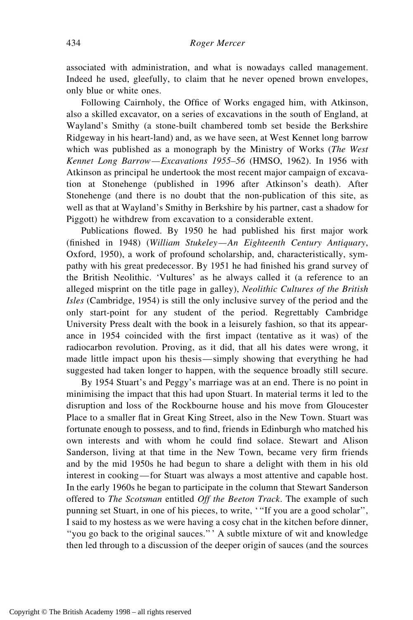associated with administration, and what is nowadays called management. Indeed he used, gleefully, to claim that he never opened brown envelopes, only blue or white ones.

Following Cairnholy, the Office of Works engaged him, with Atkinson, also a skilled excavator, on a series of excavations in the south of England, at Wayland's Smithy (a stone-built chambered tomb set beside the Berkshire Ridgeway in his heart-land) and, as we have seen, at West Kennet long barrow which was published as a monograph by the Ministry of Works (*The West Kennet Long Barrow—Excavations 1955–56* (HMSO, 1962). In 1956 with Atkinson as principal he undertook the most recent major campaign of excavation at Stonehenge (published in 1996 after Atkinson's death). After Stonehenge (and there is no doubt that the non-publication of this site, as well as that at Wayland's Smithy in Berkshire by his partner, cast a shadow for Piggott) he withdrew from excavation to a considerable extent.

Publications flowed. By 1950 he had published his first major work (finished in 1948) (*William Stukeley—An Eighteenth Century Antiquary*, Oxford, 1950), a work of profound scholarship, and, characteristically, sympathy with his great predecessor. By 1951 he had finished his grand survey of the British Neolithic. 'Vultures' as he always called it (a reference to an alleged misprint on the title page in galley), *Neolithic Cultures of the British Isles* (Cambridge, 1954) is still the only inclusive survey of the period and the only start-point for any student of the period. Regrettably Cambridge University Press dealt with the book in a leisurely fashion, so that its appearance in 1954 coincided with the first impact (tentative as it was) of the radiocarbon revolution. Proving, as it did, that all his dates were wrong, it made little impact upon his thesis—simply showing that everything he had suggested had taken longer to happen, with the sequence broadly still secure.

By 1954 Stuart's and Peggy's marriage was at an end. There is no point in minimising the impact that this had upon Stuart. In material terms it led to the disruption and loss of the Rockbourne house and his move from Gloucester Place to a smaller flat in Great King Street, also in the New Town. Stuart was fortunate enough to possess, and to find, friends in Edinburgh who matched his own interests and with whom he could find solace. Stewart and Alison Sanderson, living at that time in the New Town, became very firm friends and by the mid 1950s he had begun to share a delight with them in his old interest in cooking—for Stuart was always a most attentive and capable host. In the early 1960s he began to participate in the column that Stewart Sanderson offered to *The Scotsman* entitled *Off the Beeton Track*. The example of such punning set Stuart, in one of his pieces, to write, '''If you are a good scholar'', I said to my hostess as we were having a cosy chat in the kitchen before dinner, ''you go back to the original sauces.''' A subtle mixture of wit and knowledge then led through to a discussion of the deeper origin of sauces (and the sources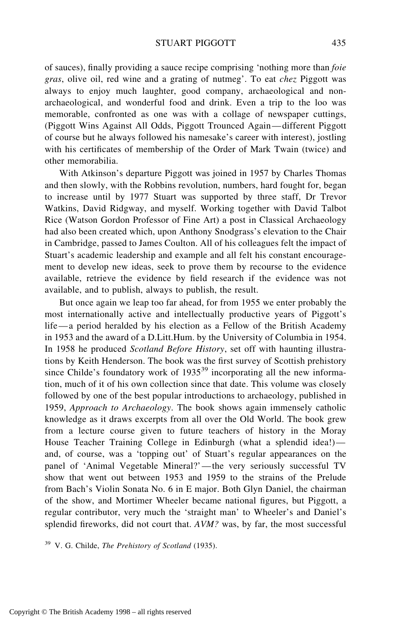of sauces), finally providing a sauce recipe comprising 'nothing more than *foie gras*, olive oil, red wine and a grating of nutmeg'. To eat *chez* Piggott was always to enjoy much laughter, good company, archaeological and nonarchaeological, and wonderful food and drink. Even a trip to the loo was memorable, confronted as one was with a collage of newspaper cuttings, (Piggott Wins Against All Odds, Piggott Trounced Again—different Piggott of course but he always followed his namesake's career with interest), jostling with his certificates of membership of the Order of Mark Twain (twice) and other memorabilia.

With Atkinson's departure Piggott was joined in 1957 by Charles Thomas and then slowly, with the Robbins revolution, numbers, hard fought for, began to increase until by 1977 Stuart was supported by three staff, Dr Trevor Watkins, David Ridgway, and myself. Working together with David Talbot Rice (Watson Gordon Professor of Fine Art) a post in Classical Archaeology had also been created which, upon Anthony Snodgrass's elevation to the Chair in Cambridge, passed to James Coulton. All of his colleagues felt the impact of Stuart's academic leadership and example and all felt his constant encouragement to develop new ideas, seek to prove them by recourse to the evidence available, retrieve the evidence by field research if the evidence was not available, and to publish, always to publish, the result.

But once again we leap too far ahead, for from 1955 we enter probably the most internationally active and intellectually productive years of Piggott's life—a period heralded by his election as a Fellow of the British Academy in 1953 and the award of a D.Litt.Hum. by the University of Columbia in 1954. In 1958 he produced *Scotland Before History*, set off with haunting illustrations by Keith Henderson. The book was the first survey of Scottish prehistory since Childe's foundatory work of  $1935^{39}$  incorporating all the new information, much of it of his own collection since that date. This volume was closely followed by one of the best popular introductions to archaeology, published in 1959, *Approach to Archaeology*. The book shows again immensely catholic knowledge as it draws excerpts from all over the Old World. The book grew from a lecture course given to future teachers of history in the Moray House Teacher Training College in Edinburgh (what a splendid idea!) and, of course, was a 'topping out' of Stuart's regular appearances on the panel of 'Animal Vegetable Mineral?'—the very seriously successful TV show that went out between 1953 and 1959 to the strains of the Prelude from Bach's Violin Sonata No. 6 in E major. Both Glyn Daniel, the chairman of the show, and Mortimer Wheeler became national figures, but Piggott, a regular contributor, very much the 'straight man' to Wheeler's and Daniel's splendid fireworks, did not court that. *AVM?* was, by far, the most successful

<sup>39</sup> V. G. Childe, *The Prehistory of Scotland* (1935).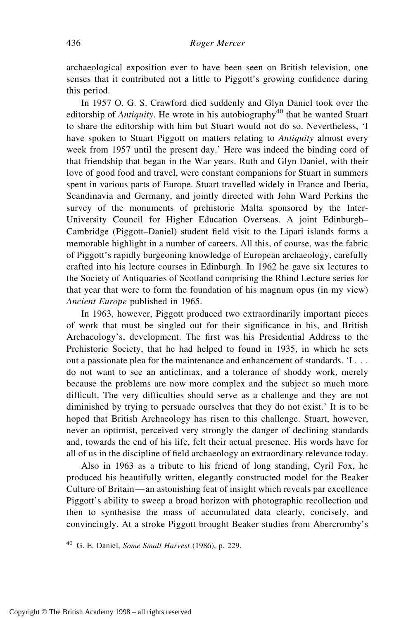archaeological exposition ever to have been seen on British television, one senses that it contributed not a little to Piggott's growing confidence during this period.

In 1957 O. G. S. Crawford died suddenly and Glyn Daniel took over the editorship of *Antiquity*. He wrote in his autobiography<sup>40</sup> that he wanted Stuart to share the editorship with him but Stuart would not do so. Nevertheless, 'I have spoken to Stuart Piggott on matters relating to *Antiquity* almost every week from 1957 until the present day.' Here was indeed the binding cord of that friendship that began in the War years. Ruth and Glyn Daniel, with their love of good food and travel, were constant companions for Stuart in summers spent in various parts of Europe. Stuart travelled widely in France and Iberia, Scandinavia and Germany, and jointly directed with John Ward Perkins the survey of the monuments of prehistoric Malta sponsored by the Inter-University Council for Higher Education Overseas. A joint Edinburgh– Cambridge (Piggott–Daniel) student field visit to the Lipari islands forms a memorable highlight in a number of careers. All this, of course, was the fabric of Piggott's rapidly burgeoning knowledge of European archaeology, carefully crafted into his lecture courses in Edinburgh. In 1962 he gave six lectures to the Society of Antiquaries of Scotland comprising the Rhind Lecture series for that year that were to form the foundation of his magnum opus (in my view) *Ancient Europe* published in 1965.

In 1963, however, Piggott produced two extraordinarily important pieces of work that must be singled out for their significance in his, and British Archaeology's, development. The first was his Presidential Address to the Prehistoric Society, that he had helped to found in 1935, in which he sets out a passionate plea for the maintenance and enhancement of standards. 'I . . . do not want to see an anticlimax, and a tolerance of shoddy work, merely because the problems are now more complex and the subject so much more difficult. The very difficulties should serve as a challenge and they are not diminished by trying to persuade ourselves that they do not exist.' It is to be hoped that British Archaeology has risen to this challenge. Stuart, however, never an optimist, perceived very strongly the danger of declining standards and, towards the end of his life, felt their actual presence. His words have for all of us in the discipline of field archaeology an extraordinary relevance today.

Also in 1963 as a tribute to his friend of long standing, Cyril Fox, he produced his beautifully written, elegantly constructed model for the Beaker Culture of Britain—an astonishing feat of insight which reveals par excellence Piggott's ability to sweep a broad horizon with photographic recollection and then to synthesise the mass of accumulated data clearly, concisely, and convincingly. At a stroke Piggott brought Beaker studies from Abercromby's

<sup>40</sup> G. E. Daniel, *Some Small Harvest* (1986), p. 229.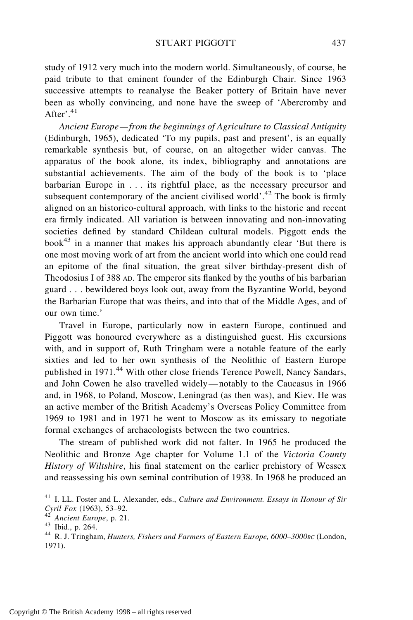## STUART PIGGOTT 437

study of 1912 very much into the modern world. Simultaneously, of course, he paid tribute to that eminent founder of the Edinburgh Chair. Since 1963 successive attempts to reanalyse the Beaker pottery of Britain have never been as wholly convincing, and none have the sweep of 'Abercromby and After'. $41$ 

*Ancient Europe—from the beginnings of Agriculture to Classical Antiquity* (Edinburgh, 1965), dedicated 'To my pupils, past and present', is an equally remarkable synthesis but, of course, on an altogether wider canvas. The apparatus of the book alone, its index, bibliography and annotations are substantial achievements. The aim of the body of the book is to 'place barbarian Europe in . . . its rightful place, as the necessary precursor and subsequent contemporary of the ancient civilised world'.<sup>42</sup> The book is firmly aligned on an historico-cultural approach, with links to the historic and recent era firmly indicated. All variation is between innovating and non-innovating societies defined by standard Childean cultural models. Piggott ends the book<sup>43</sup> in a manner that makes his approach abundantly clear 'But there is one most moving work of art from the ancient world into which one could read an epitome of the final situation, the great silver birthday-present dish of Theodosius I of 388 AD. The emperor sits flanked by the youths of his barbarian guard . . . bewildered boys look out, away from the Byzantine World, beyond the Barbarian Europe that was theirs, and into that of the Middle Ages, and of our own time.'

Travel in Europe, particularly now in eastern Europe, continued and Piggott was honoured everywhere as a distinguished guest. His excursions with, and in support of, Ruth Tringham were a notable feature of the early sixties and led to her own synthesis of the Neolithic of Eastern Europe published in 1971.<sup>44</sup> With other close friends Terence Powell, Nancy Sandars, and John Cowen he also travelled widely—notably to the Caucasus in 1966 and, in 1968, to Poland, Moscow, Leningrad (as then was), and Kiev. He was an active member of the British Academy's Overseas Policy Committee from 1969 to 1981 and in 1971 he went to Moscow as its emissary to negotiate formal exchanges of archaeologists between the two countries.

The stream of published work did not falter. In 1965 he produced the Neolithic and Bronze Age chapter for Volume 1.1 of the *Victoria County History of Wiltshire*, his final statement on the earlier prehistory of Wessex and reassessing his own seminal contribution of 1938. In 1968 he produced an

<sup>41</sup> I. LL. Foster and L. Alexander, eds., *Culture and Environment. Essays in Honour of Sir Cyril Fox* (1963), 53–92.<br><sup>42</sup> *Ancient Europe*, p. 21.<br><sup>43</sup> Ibid., p. 264.<br><sup>44</sup> R. J. Tringham, *Hunters, Fishers and Farmers of Eastern Europe, 6000–3000BC* (London,

<sup>1971).</sup>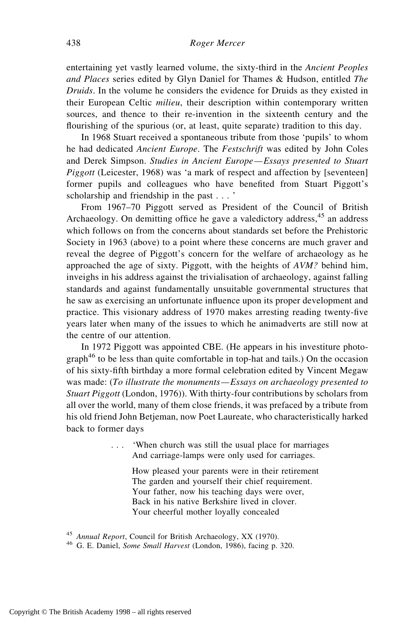entertaining yet vastly learned volume, the sixty-third in the *Ancient Peoples and Places* series edited by Glyn Daniel for Thames & Hudson, entitled *The Druids*. In the volume he considers the evidence for Druids as they existed in their European Celtic *milieu*, their description within contemporary written sources, and thence to their re-invention in the sixteenth century and the flourishing of the spurious (or, at least, quite separate) tradition to this day.

In 1968 Stuart received a spontaneous tribute from those 'pupils' to whom he had dedicated *Ancient Europe*. The *Festschrift* was edited by John Coles and Derek Simpson. *Studies in Ancient Europe—Essays presented to Stuart Piggott* (Leicester, 1968) was 'a mark of respect and affection by [seventeen] former pupils and colleagues who have benefited from Stuart Piggott's scholarship and friendship in the past . . . '

From 1967–70 Piggott served as President of the Council of British Archaeology. On demitting office he gave a valedictory address,  $45$  an address which follows on from the concerns about standards set before the Prehistoric Society in 1963 (above) to a point where these concerns are much graver and reveal the degree of Piggott's concern for the welfare of archaeology as he approached the age of sixty. Piggott, with the heights of *AVM?* behind him, inveighs in his address against the trivialisation of archaeology, against falling standards and against fundamentally unsuitable governmental structures that he saw as exercising an unfortunate influence upon its proper development and practice. This visionary address of 1970 makes arresting reading twenty-five years later when many of the issues to which he animadverts are still now at the centre of our attention.

In 1972 Piggott was appointed CBE. (He appears in his investiture photograph<sup>46</sup> to be less than quite comfortable in top-hat and tails.) On the occasion of his sixty-fifth birthday a more formal celebration edited by Vincent Megaw was made: (*To illustrate the monuments—Essays on archaeology presented to Stuart Piggott* (London, 1976)). With thirty-four contributions by scholars from all over the world, many of them close friends, it was prefaced by a tribute from his old friend John Betjeman, now Poet Laureate, who characteristically harked back to former days

> . . . 'When church was still the usual place for marriages And carriage-lamps were only used for carriages.

How pleased your parents were in their retirement The garden and yourself their chief requirement. Your father, now his teaching days were over, Back in his native Berkshire lived in clover. Your cheerful mother loyally concealed

<sup>45</sup> *Annual Report*, Council for British Archaeology, XX (1970). <sup>46</sup> G. E. Daniel, *Some Small Harvest* (London, 1986), facing p. 320.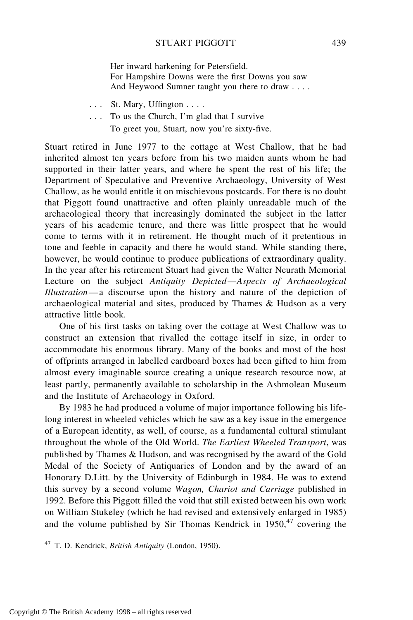Her inward harkening for Petersfield. For Hampshire Downs were the first Downs you saw And Heywood Sumner taught you there to draw . . . .

. . . St. Mary, Uffington . . . .

. . . To us the Church, I'm glad that I survive To greet you, Stuart, now you're sixty-five.

Stuart retired in June 1977 to the cottage at West Challow, that he had inherited almost ten years before from his two maiden aunts whom he had supported in their latter years, and where he spent the rest of his life; the Department of Speculative and Preventive Archaeology, University of West Challow, as he would entitle it on mischievous postcards. For there is no doubt that Piggott found unattractive and often plainly unreadable much of the archaeological theory that increasingly dominated the subject in the latter years of his academic tenure, and there was little prospect that he would come to terms with it in retirement. He thought much of it pretentious in tone and feeble in capacity and there he would stand. While standing there, however, he would continue to produce publications of extraordinary quality. In the year after his retirement Stuart had given the Walter Neurath Memorial Lecture on the subject *Antiquity Depicted—Aspects of Archaeological Illustration*—a discourse upon the history and nature of the depiction of archaeological material and sites, produced by Thames & Hudson as a very attractive little book.

One of his first tasks on taking over the cottage at West Challow was to construct an extension that rivalled the cottage itself in size, in order to accommodate his enormous library. Many of the books and most of the host of offprints arranged in labelled cardboard boxes had been gifted to him from almost every imaginable source creating a unique research resource now, at least partly, permanently available to scholarship in the Ashmolean Museum and the Institute of Archaeology in Oxford.

By 1983 he had produced a volume of major importance following his lifelong interest in wheeled vehicles which he saw as a key issue in the emergence of a European identity, as well, of course, as a fundamental cultural stimulant throughout the whole of the Old World. *The Earliest Wheeled Transport*, was published by Thames & Hudson, and was recognised by the award of the Gold Medal of the Society of Antiquaries of London and by the award of an Honorary D.Litt. by the University of Edinburgh in 1984. He was to extend this survey by a second volume *Wagon, Chariot and Carriage* published in 1992. Before this Piggott filled the void that still existed between his own work on William Stukeley (which he had revised and extensively enlarged in 1985) and the volume published by Sir Thomas Kendrick in  $1950<sup>47</sup>$  covering the

<sup>47</sup> T. D. Kendrick, *British Antiquity* (London, 1950).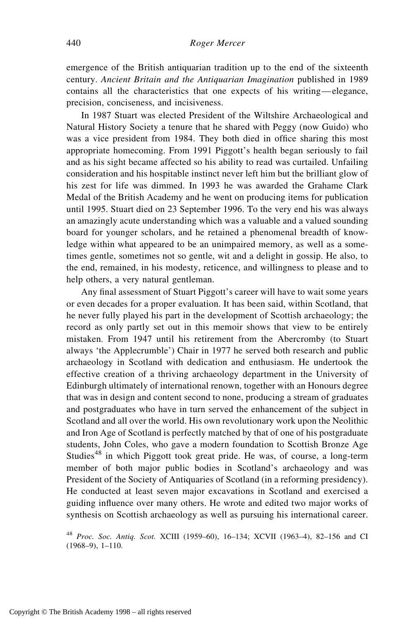emergence of the British antiquarian tradition up to the end of the sixteenth century. *Ancient Britain and the Antiquarian Imagination* published in 1989 contains all the characteristics that one expects of his writing—elegance, precision, conciseness, and incisiveness.

In 1987 Stuart was elected President of the Wiltshire Archaeological and Natural History Society a tenure that he shared with Peggy (now Guido) who was a vice president from 1984. They both died in office sharing this most appropriate homecoming. From 1991 Piggott's health began seriously to fail and as his sight became affected so his ability to read was curtailed. Unfailing consideration and his hospitable instinct never left him but the brilliant glow of his zest for life was dimmed. In 1993 he was awarded the Grahame Clark Medal of the British Academy and he went on producing items for publication until 1995. Stuart died on 23 September 1996. To the very end his was always an amazingly acute understanding which was a valuable and a valued sounding board for younger scholars, and he retained a phenomenal breadth of knowledge within what appeared to be an unimpaired memory, as well as a sometimes gentle, sometimes not so gentle, wit and a delight in gossip. He also, to the end, remained, in his modesty, reticence, and willingness to please and to help others, a very natural gentleman.

Any final assessment of Stuart Piggott's career will have to wait some years or even decades for a proper evaluation. It has been said, within Scotland, that he never fully played his part in the development of Scottish archaeology; the record as only partly set out in this memoir shows that view to be entirely mistaken. From 1947 until his retirement from the Abercromby (to Stuart always 'the Applecrumble') Chair in 1977 he served both research and public archaeology in Scotland with dedication and enthusiasm. He undertook the effective creation of a thriving archaeology department in the University of Edinburgh ultimately of international renown, together with an Honours degree that was in design and content second to none, producing a stream of graduates and postgraduates who have in turn served the enhancement of the subject in Scotland and all over the world. His own revolutionary work upon the Neolithic and Iron Age of Scotland is perfectly matched by that of one of his postgraduate students, John Coles, who gave a modern foundation to Scottish Bronze Age Studies<sup>48</sup> in which Piggott took great pride. He was, of course, a long-term member of both major public bodies in Scotland's archaeology and was President of the Society of Antiquaries of Scotland (in a reforming presidency). He conducted at least seven major excavations in Scotland and exercised a guiding influence over many others. He wrote and edited two major works of synthesis on Scottish archaeology as well as pursuing his international career.

<sup>48</sup> *Proc. Soc. Antiq. Scot.* XCIII (1959–60), 16–134; XCVII (1963–4), 82–156 and CI (1968–9), 1–110.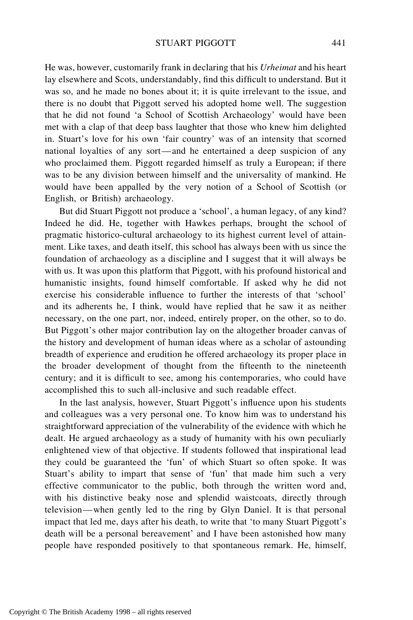## STUART PIGGOTT 441

He was, however, customarily frank in declaring that his *Urheimat* and his heart lay elsewhere and Scots, understandably, find this difficult to understand. But it was so, and he made no bones about it; it is quite irrelevant to the issue, and there is no doubt that Piggott served his adopted home well. The suggestion that he did not found 'a School of Scottish Archaeology' would have been met with a clap of that deep bass laughter that those who knew him delighted in. Stuart's love for his own 'fair country' was of an intensity that scorned national loyalties of any sort—and he entertained a deep suspicion of any who proclaimed them. Piggott regarded himself as truly a European; if there was to be any division between himself and the universality of mankind. He would have been appalled by the very notion of a School of Scottish (or English, or British) archaeology.

But did Stuart Piggott not produce a 'school', a human legacy, of any kind? Indeed he did. He, together with Hawkes perhaps, brought the school of pragmatic historico-cultural archaeology to its highest current level of attainment. Like taxes, and death itself, this school has always been with us since the foundation of archaeology as a discipline and I suggest that it will always be with us. It was upon this platform that Piggott, with his profound historical and humanistic insights, found himself comfortable. If asked why he did not exercise his considerable influence to further the interests of that 'school' and its adherents he, I think, would have replied that he saw it as neither necessary, on the one part, nor, indeed, entirely proper, on the other, so to do. But Piggott's other major contribution lay on the altogether broader canvas of the history and development of human ideas where as a scholar of astounding breadth of experience and erudition he offered archaeology its proper place in the broader development of thought from the fifteenth to the nineteenth century; and it is difficult to see, among his contemporaries, who could have accomplished this to such all-inclusive and such readable effect.

In the last analysis, however, Stuart Piggott's influence upon his students and colleagues was a very personal one. To know him was to understand his straightforward appreciation of the vulnerability of the evidence with which he dealt. He argued archaeology as a study of humanity with his own peculiarly enlightened view of that objective. If students followed that inspirational lead they could be guaranteed the 'fun' of which Stuart so often spoke. It was Stuart's ability to impart that sense of 'fun' that made him such a very effective communicator to the public, both through the written word and, with his distinctive beaky nose and splendid waistcoats, directly through television—when gently led to the ring by Glyn Daniel. It is that personal impact that led me, days after his death, to write that 'to many Stuart Piggott's death will be a personal bereavement' and I have been astonished how many people have responded positively to that spontaneous remark. He, himself,